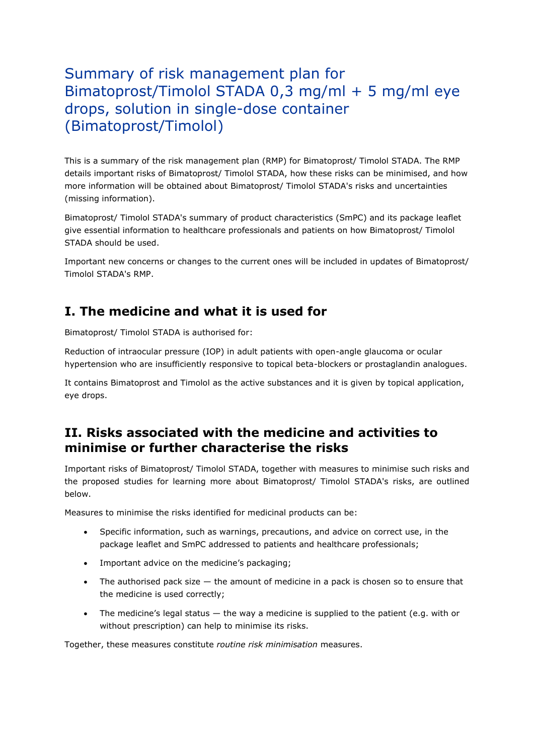# Summary of risk management plan for Bimatoprost/Timolol STADA 0,3 mg/ml + 5 mg/ml eye drops, solution in single-dose container (Bimatoprost/Timolol)

This is a summary of the risk management plan (RMP) for Bimatoprost/ Timolol STADA. The RMP details important risks of Bimatoprost/ Timolol STADA, how these risks can be minimised, and how more information will be obtained about Bimatoprost/ Timolol STADA's risks and uncertainties (missing information).

Bimatoprost/ Timolol STADA's summary of product characteristics (SmPC) and its package leaflet give essential information to healthcare professionals and patients on how Bimatoprost/ Timolol STADA should be used.

Important new concerns or changes to the current ones will be included in updates of Bimatoprost/ Timolol STADA's RMP.

# **I. The medicine and what it is used for**

Bimatoprost/ Timolol STADA is authorised for:

Reduction of intraocular pressure (IOP) in adult patients with open-angle glaucoma or ocular hypertension who are insufficiently responsive to topical beta-blockers or prostaglandin analogues.

It contains Bimatoprost and Timolol as the active substances and it is given by topical application, eye drops.

# **II. Risks associated with the medicine and activities to minimise or further characterise the risks**

Important risks of Bimatoprost/ Timolol STADA, together with measures to minimise such risks and the proposed studies for learning more about Bimatoprost/ Timolol STADA's risks, are outlined below.

Measures to minimise the risks identified for medicinal products can be:

- Specific information, such as warnings, precautions, and advice on correct use, in the package leaflet and SmPC addressed to patients and healthcare professionals;
- Important advice on the medicine's packaging;
- The authorised pack size the amount of medicine in a pack is chosen so to ensure that the medicine is used correctly;
- The medicine's legal status  $-$  the way a medicine is supplied to the patient (e.g. with or without prescription) can help to minimise its risks.

Together, these measures constitute *routine risk minimisation* measures.